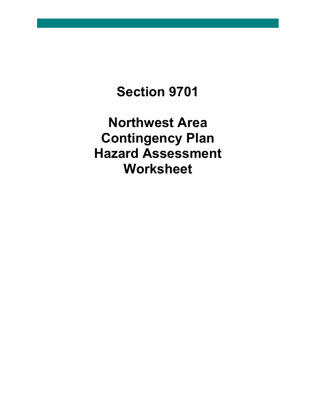# **Section 9701**

**Northwest Area Contingency Plan Hazard Assessment Worksheet**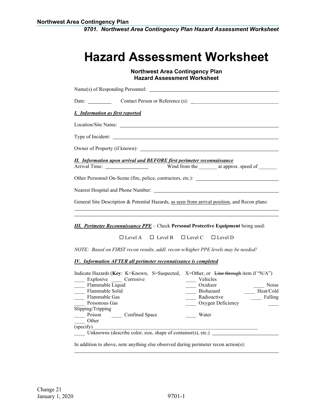*9701. Northwest Area Contingency Plan Hazard Assessment Worksheet*

## **Hazard Assessment Worksheet**

### **Northwest Area Contingency Plan Hazard Assessment Worksheet**

| Name(s) of Responding Personnel:                                                                                                                                             |
|------------------------------------------------------------------------------------------------------------------------------------------------------------------------------|
|                                                                                                                                                                              |
| <b>I.</b> Information as first reported                                                                                                                                      |
| Location/Site Name:                                                                                                                                                          |
|                                                                                                                                                                              |
|                                                                                                                                                                              |
| <b>II.</b> Information upon arrival and BEFORE first perimeter reconnaissance                                                                                                |
|                                                                                                                                                                              |
|                                                                                                                                                                              |
|                                                                                                                                                                              |
| General Site Description & Potential Hazards, as seen from arrival position, and Recon plans:                                                                                |
|                                                                                                                                                                              |
| <b>III.</b> Perimeter Reconnaissance PPE – Check Personal Protective Equipment being used:                                                                                   |
| $\Box$ Level A $\Box$ Level B $\Box$ Level C $\Box$ Level D                                                                                                                  |
| NOTE: Based on FIRST recon results, addl. recon w/higher PPE levels may be needed!                                                                                           |
| <b>IV.</b> Information AFTER all perimeter reconnaissance is completed                                                                                                       |
| Indicate Hazards (Key: K=Known, S=Suspected, X=Other, or Line through item if "N/A")<br>_____ Explosive ______ Corrosive<br>Vehicles<br>Elammable Liquid<br>$Ovidizer$ Noise |

| Flammable Liquid                                             | Oxidizer          | Noise     |
|--------------------------------------------------------------|-------------------|-----------|
| Flammable Solid                                              | Biohazard         | Heat/Cold |
| Flammable Gas                                                | Radioactive       | Falling   |
| Poisonous Gas                                                | Oxygen Deficiency |           |
| Slipping/Tripping                                            |                   |           |
| Confined Space<br>Poison                                     | Water             |           |
| Other                                                        |                   |           |
| (specify)                                                    |                   |           |
| Unknowns (describe color, size, shape of container(s), etc.) |                   |           |

In addition to above, note anything else observed during perimeter recon action(s):